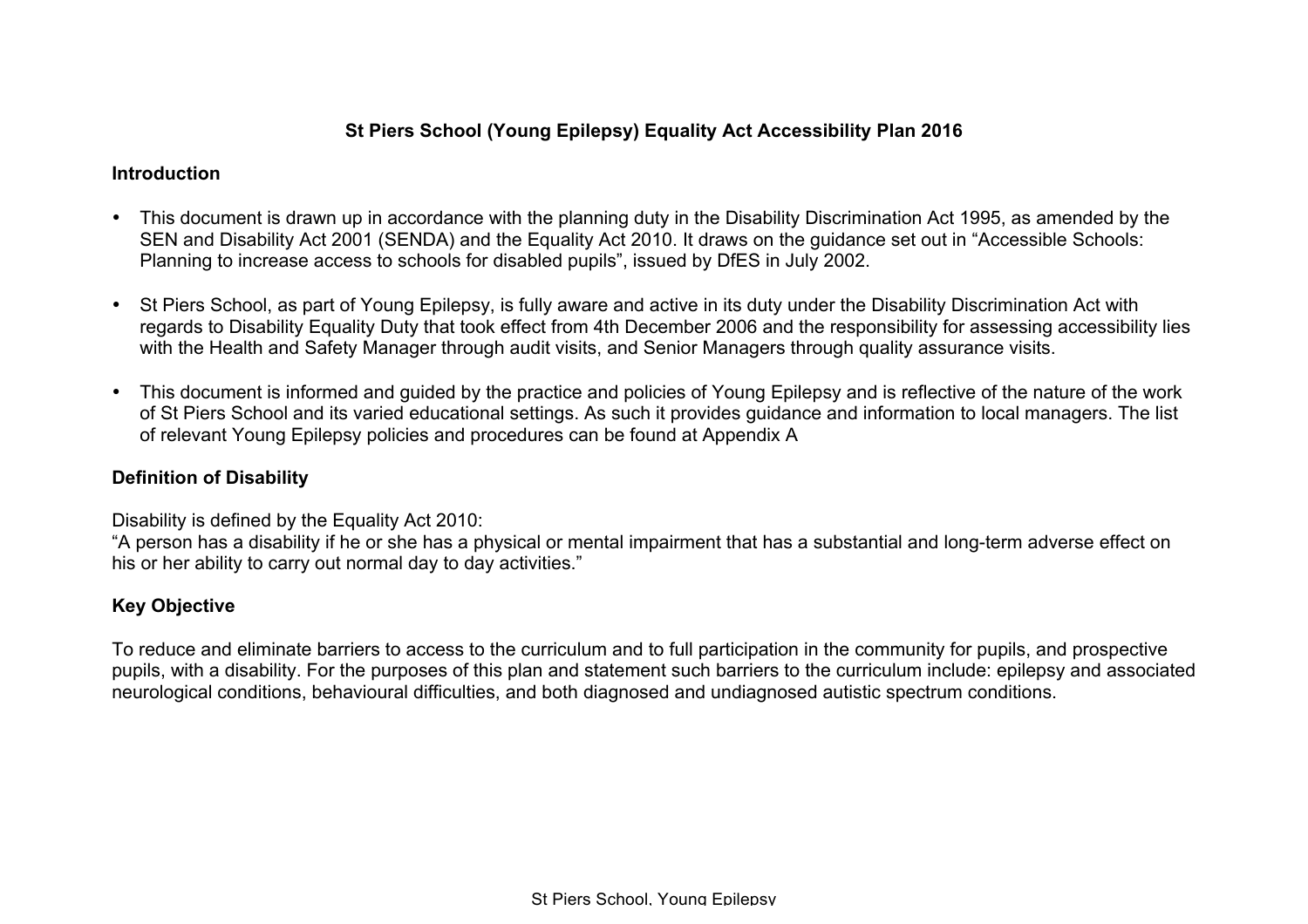# **St Piers School (Young Epilepsy) Equality Act Accessibility Plan 2016**

#### **Introduction**

- This document is drawn up in accordance with the planning duty in the Disability Discrimination Act 1995, as amended by the SEN and Disability Act 2001 (SENDA) and the Equality Act 2010. It draws on the guidance set out in "Accessible Schools: Planning to increase access to schools for disabled pupils", issued by DfES in July 2002.
- St Piers School, as part of Young Epilepsy, is fully aware and active in its duty under the Disability Discrimination Act with regards to Disability Equality Duty that took effect from 4th December 2006 and the responsibility for assessing accessibility lies with the Health and Safety Manager through audit visits, and Senior Managers through quality assurance visits.
- This document is informed and guided by the practice and policies of Young Epilepsy and is reflective of the nature of the work of St Piers School and its varied educational settings. As such it provides guidance and information to local managers. The list of relevant Young Epilepsy policies and procedures can be found at Appendix A

### **Definition of Disability**

Disability is defined by the Equality Act 2010:

"A person has a disability if he or she has a physical or mental impairment that has a substantial and long-term adverse effect on his or her ability to carry out normal day to day activities."

### **Key Objective**

To reduce and eliminate barriers to access to the curriculum and to full participation in the community for pupils, and prospective pupils, with a disability. For the purposes of this plan and statement such barriers to the curriculum include: epilepsy and associated neurological conditions, behavioural difficulties, and both diagnosed and undiagnosed autistic spectrum conditions.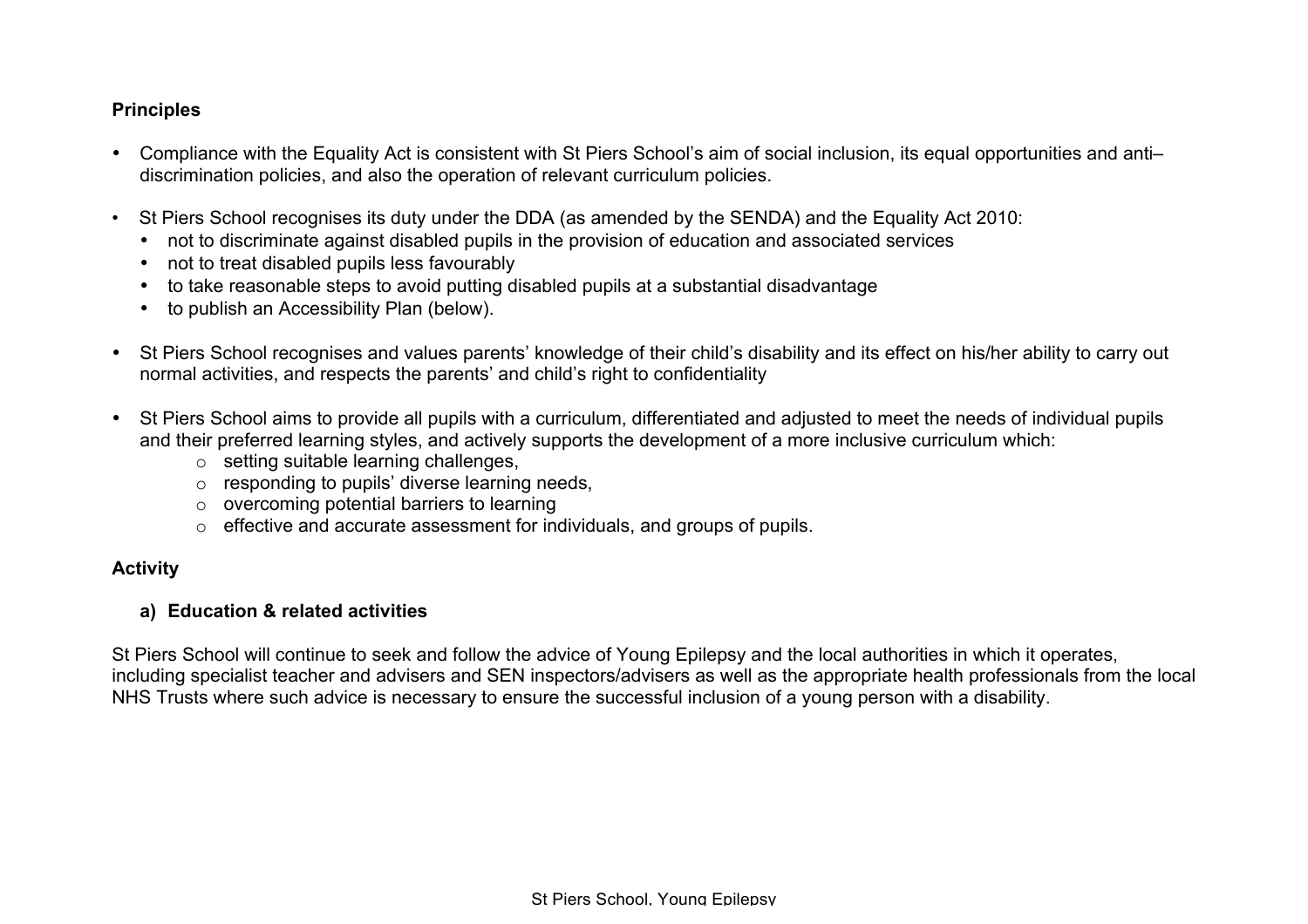### **Principles**

- Compliance with the Equality Act is consistent with St Piers School's aim of social inclusion, its equal opportunities and anti– discrimination policies, and also the operation of relevant curriculum policies.
- St Piers School recognises its duty under the DDA (as amended by the SENDA) and the Equality Act 2010:
	- not to discriminate against disabled pupils in the provision of education and associated services
	- not to treat disabled pupils less favourably
	- to take reasonable steps to avoid putting disabled pupils at a substantial disadvantage
	- to publish an Accessibility Plan (below).
- St Piers School recognises and values parents' knowledge of their child's disability and its effect on his/her ability to carry out normal activities, and respects the parents' and child's right to confidentiality
- St Piers School aims to provide all pupils with a curriculum, differentiated and adjusted to meet the needs of individual pupils and their preferred learning styles, and actively supports the development of a more inclusive curriculum which:
	- o setting suitable learning challenges,
	- o responding to pupils' diverse learning needs,
	- $\circ$  overcoming potential barriers to learning
	- o effective and accurate assessment for individuals, and groups of pupils.

### **Activity**

### **a) Education & related activities**

St Piers School will continue to seek and follow the advice of Young Epilepsy and the local authorities in which it operates, including specialist teacher and advisers and SEN inspectors/advisers as well as the appropriate health professionals from the local NHS Trusts where such advice is necessary to ensure the successful inclusion of a young person with a disability.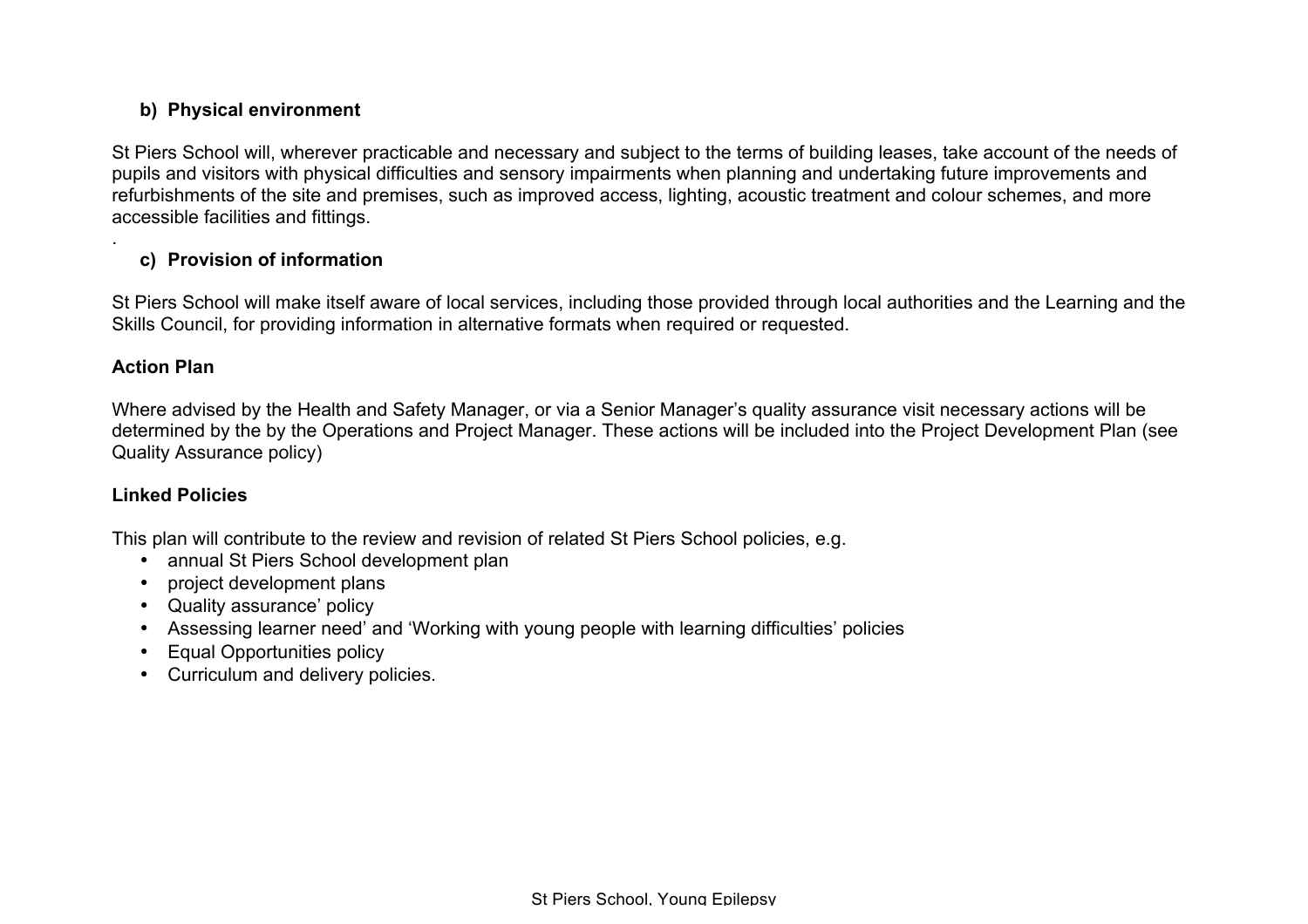# **b) Physical environment**

St Piers School will, wherever practicable and necessary and subject to the terms of building leases, take account of the needs of pupils and visitors with physical difficulties and sensory impairments when planning and undertaking future improvements and refurbishments of the site and premises, such as improved access, lighting, acoustic treatment and colour schemes, and more accessible facilities and fittings.

# **c) Provision of information**

St Piers School will make itself aware of local services, including those provided through local authorities and the Learning and the Skills Council, for providing information in alternative formats when required or requested.

### **Action Plan**

.

Where advised by the Health and Safety Manager, or via a Senior Manager's quality assurance visit necessary actions will be determined by the by the Operations and Project Manager. These actions will be included into the Project Development Plan (see Quality Assurance policy)

# **Linked Policies**

This plan will contribute to the review and revision of related St Piers School policies, e.g.

- annual St Piers School development plan
- project development plans
- Quality assurance' policy
- Assessing learner need' and 'Working with young people with learning difficulties' policies
- Equal Opportunities policy
- Curriculum and delivery policies.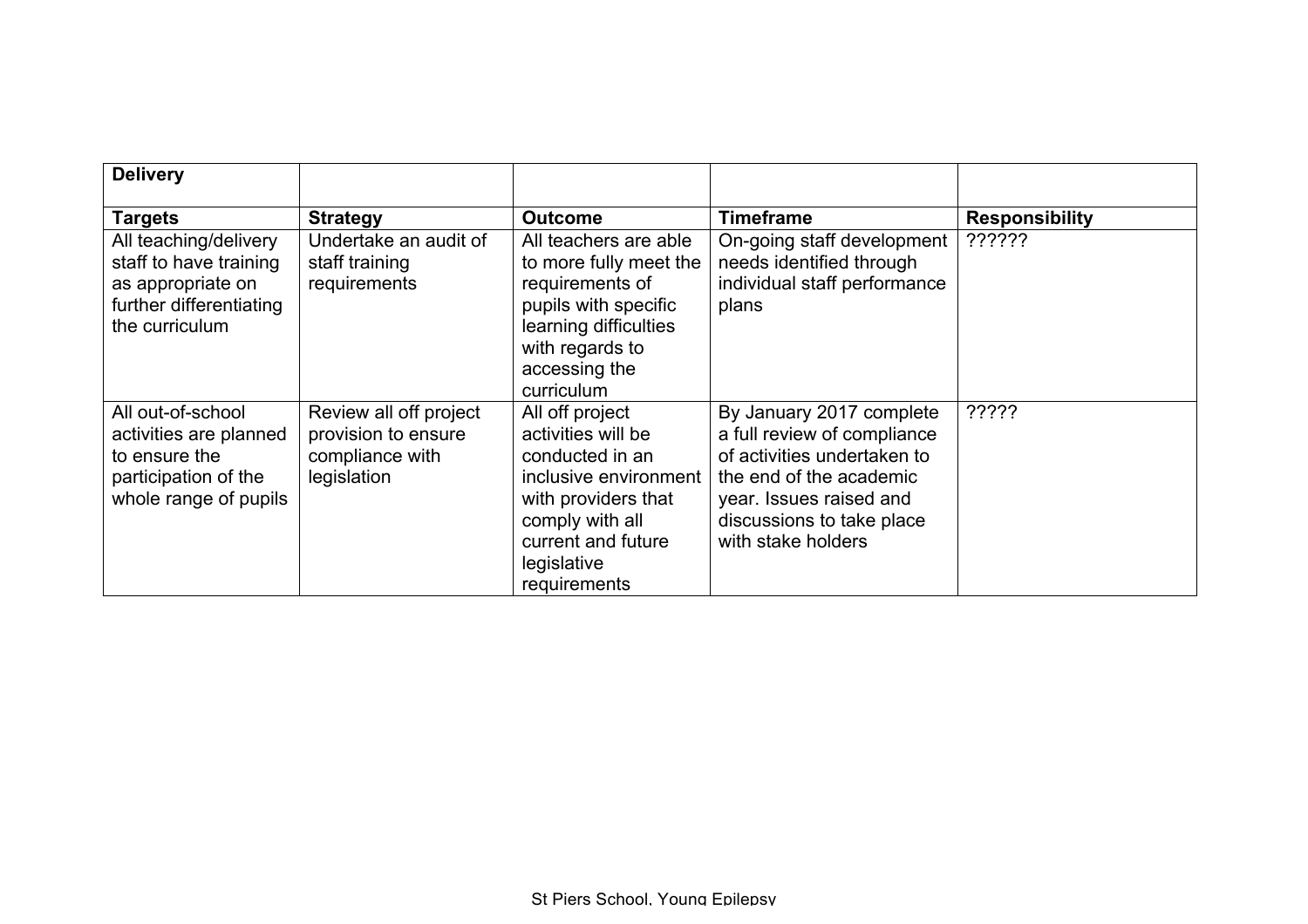| <b>Delivery</b>                                                                                                   |                                                                                 |                                                                                                                                                                                  |                                                                                                                                                                                                 |                       |
|-------------------------------------------------------------------------------------------------------------------|---------------------------------------------------------------------------------|----------------------------------------------------------------------------------------------------------------------------------------------------------------------------------|-------------------------------------------------------------------------------------------------------------------------------------------------------------------------------------------------|-----------------------|
| <b>Targets</b>                                                                                                    | <b>Strategy</b>                                                                 | <b>Outcome</b>                                                                                                                                                                   | <b>Timeframe</b>                                                                                                                                                                                | <b>Responsibility</b> |
| All teaching/delivery<br>staff to have training<br>as appropriate on<br>further differentiating<br>the curriculum | Undertake an audit of<br>staff training<br>requirements                         | All teachers are able<br>to more fully meet the<br>requirements of<br>pupils with specific<br>learning difficulties<br>with regards to<br>accessing the<br>curriculum            | On-going staff development<br>needs identified through<br>individual staff performance<br>plans                                                                                                 | ??????                |
| All out-of-school<br>activities are planned<br>to ensure the<br>participation of the<br>whole range of pupils     | Review all off project<br>provision to ensure<br>compliance with<br>legislation | All off project<br>activities will be<br>conducted in an<br>inclusive environment<br>with providers that<br>comply with all<br>current and future<br>legislative<br>requirements | By January 2017 complete<br>a full review of compliance<br>of activities undertaken to<br>the end of the academic<br>year. Issues raised and<br>discussions to take place<br>with stake holders | ?????                 |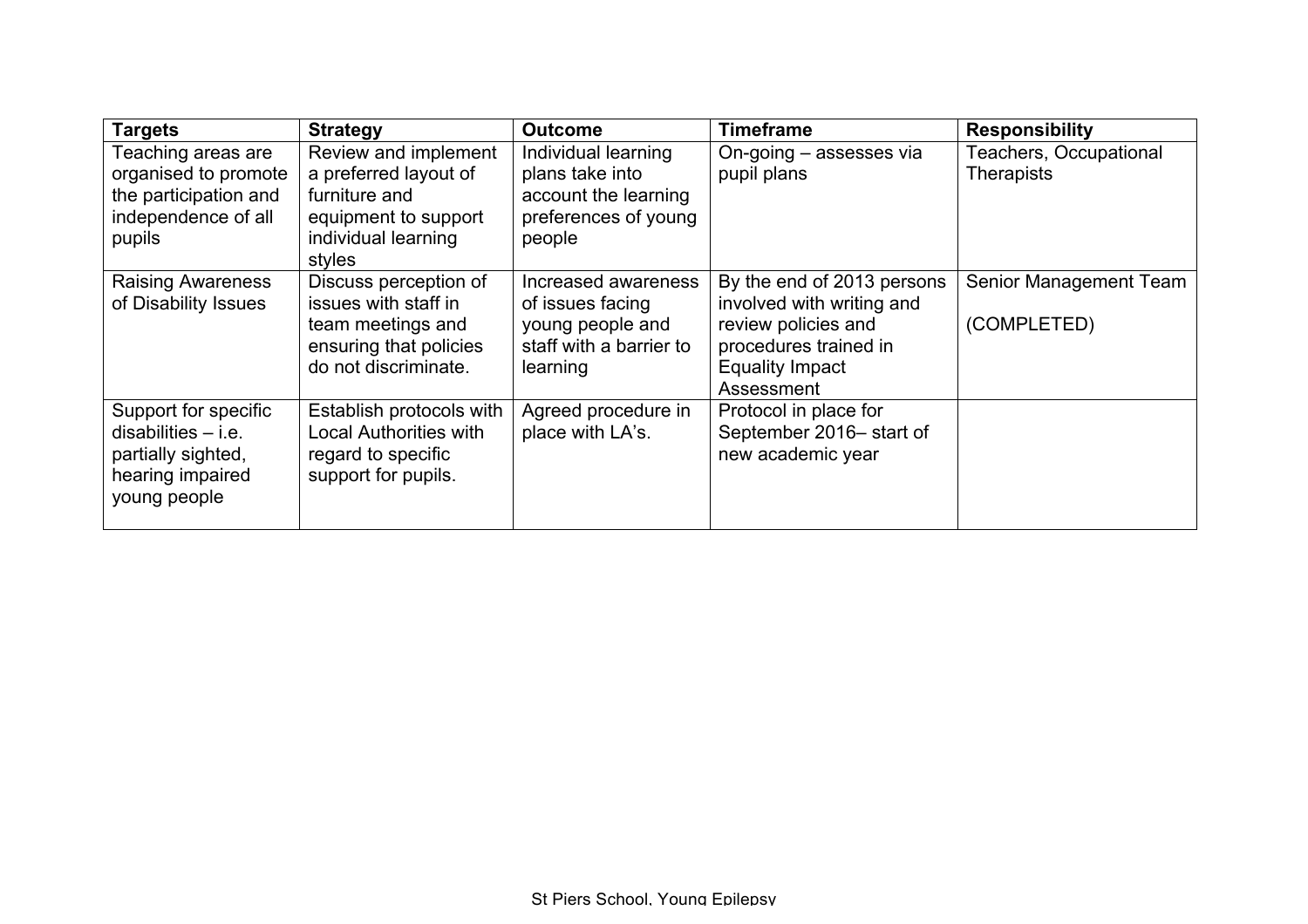| <b>Targets</b>           | <b>Strategy</b>               | <b>Outcome</b>          | <b>Timeframe</b>           | <b>Responsibility</b>  |
|--------------------------|-------------------------------|-------------------------|----------------------------|------------------------|
| Teaching areas are       | Review and implement          | Individual learning     | On-going - assesses via    | Teachers, Occupational |
| organised to promote     | a preferred layout of         | plans take into         | pupil plans                | <b>Therapists</b>      |
| the participation and    | furniture and                 | account the learning    |                            |                        |
| independence of all      | equipment to support          | preferences of young    |                            |                        |
| pupils                   | individual learning           | people                  |                            |                        |
|                          | styles                        |                         |                            |                        |
| <b>Raising Awareness</b> | Discuss perception of         | Increased awareness     | By the end of 2013 persons | Senior Management Team |
| of Disability Issues     | issues with staff in          | of issues facing        | involved with writing and  |                        |
|                          | team meetings and             | young people and        | review policies and        | (COMPLETED)            |
|                          | ensuring that policies        | staff with a barrier to | procedures trained in      |                        |
|                          | do not discriminate.          | learning                | <b>Equality Impact</b>     |                        |
|                          |                               |                         | Assessment                 |                        |
| Support for specific     | Establish protocols with      | Agreed procedure in     | Protocol in place for      |                        |
| $disabilities - i.e.$    | <b>Local Authorities with</b> | place with LA's.        | September 2016- start of   |                        |
| partially sighted,       | regard to specific            |                         | new academic year          |                        |
| hearing impaired         | support for pupils.           |                         |                            |                        |
| young people             |                               |                         |                            |                        |
|                          |                               |                         |                            |                        |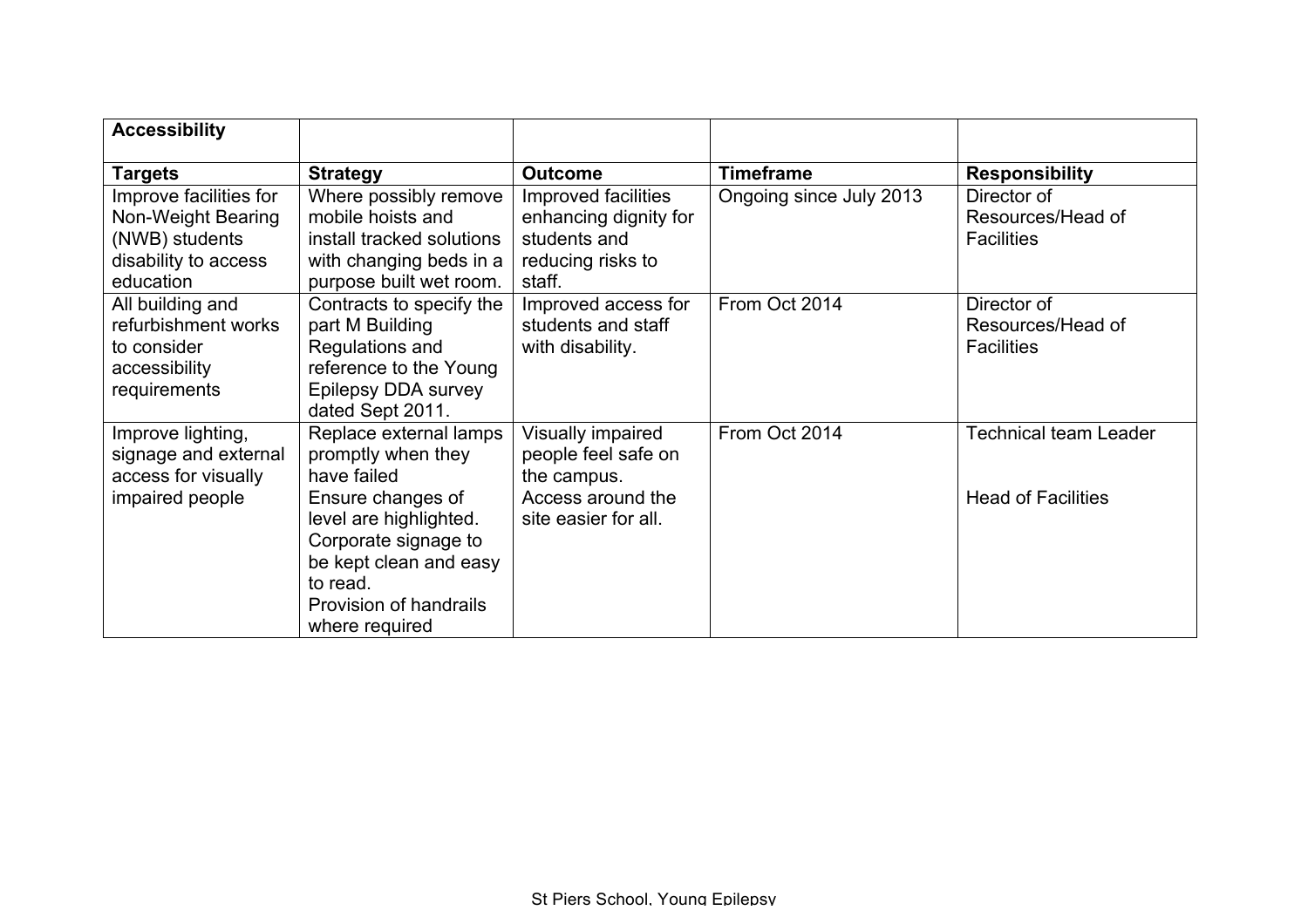| <b>Accessibility</b>   |                           |                       |                         |                              |
|------------------------|---------------------------|-----------------------|-------------------------|------------------------------|
| <b>Targets</b>         | <b>Strategy</b>           | <b>Outcome</b>        | <b>Timeframe</b>        | <b>Responsibility</b>        |
| Improve facilities for | Where possibly remove     | Improved facilities   | Ongoing since July 2013 | Director of                  |
| Non-Weight Bearing     | mobile hoists and         | enhancing dignity for |                         | Resources/Head of            |
| (NWB) students         | install tracked solutions | students and          |                         | <b>Facilities</b>            |
| disability to access   | with changing beds in a   | reducing risks to     |                         |                              |
| education              | purpose built wet room.   | staff.                |                         |                              |
| All building and       | Contracts to specify the  | Improved access for   | From Oct 2014           | Director of                  |
| refurbishment works    | part M Building           | students and staff    |                         | Resources/Head of            |
| to consider            | Regulations and           | with disability.      |                         | <b>Facilities</b>            |
| accessibility          | reference to the Young    |                       |                         |                              |
| requirements           | Epilepsy DDA survey       |                       |                         |                              |
|                        | dated Sept 2011.          |                       |                         |                              |
| Improve lighting,      | Replace external lamps    | Visually impaired     | From Oct 2014           | <b>Technical team Leader</b> |
| signage and external   | promptly when they        | people feel safe on   |                         |                              |
| access for visually    | have failed               | the campus.           |                         |                              |
| impaired people        | Ensure changes of         | Access around the     |                         | <b>Head of Facilities</b>    |
|                        | level are highlighted.    | site easier for all.  |                         |                              |
|                        | Corporate signage to      |                       |                         |                              |
|                        | be kept clean and easy    |                       |                         |                              |
|                        | to read.                  |                       |                         |                              |
|                        | Provision of handrails    |                       |                         |                              |
|                        | where required            |                       |                         |                              |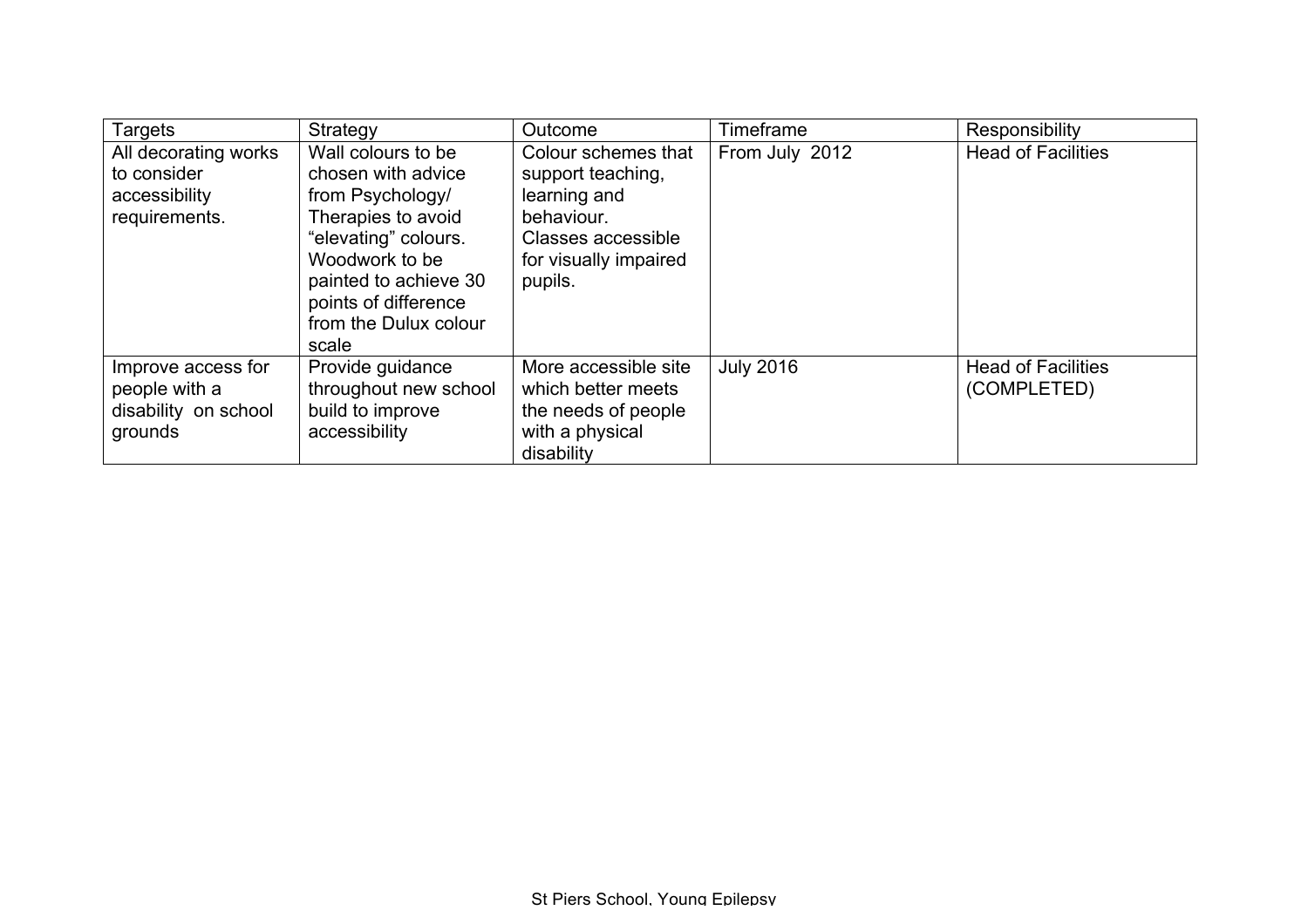| Targets                                                                | Strategy                                                                                                                                                                                                        | Outcome                                                                                                                          | Timeframe        | Responsibility                           |
|------------------------------------------------------------------------|-----------------------------------------------------------------------------------------------------------------------------------------------------------------------------------------------------------------|----------------------------------------------------------------------------------------------------------------------------------|------------------|------------------------------------------|
| All decorating works<br>to consider<br>accessibility<br>requirements.  | Wall colours to be<br>chosen with advice<br>from Psychology/<br>Therapies to avoid<br>"elevating" colours.<br>Woodwork to be<br>painted to achieve 30<br>points of difference<br>from the Dulux colour<br>scale | Colour schemes that<br>support teaching,<br>learning and<br>behaviour.<br>Classes accessible<br>for visually impaired<br>pupils. | From July 2012   | <b>Head of Facilities</b>                |
| Improve access for<br>people with a<br>disability on school<br>grounds | Provide guidance<br>throughout new school<br>build to improve<br>accessibility                                                                                                                                  | More accessible site<br>which better meets<br>the needs of people<br>with a physical<br>disability                               | <b>July 2016</b> | <b>Head of Facilities</b><br>(COMPLETED) |